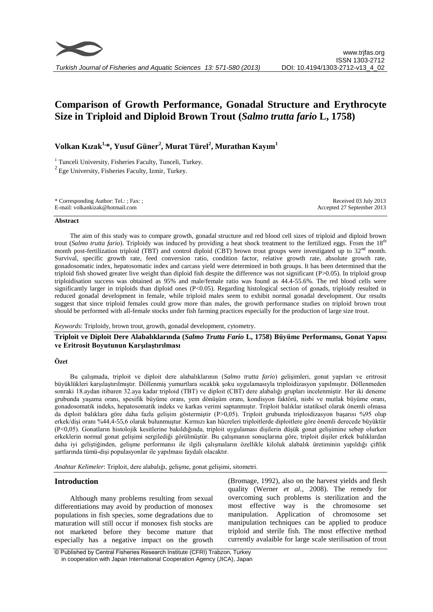

# **Comparison of Growth Performance, Gonadal Structure and Erythrocyte Size in Triploid and Diploid Brown Trout (***Salmo trutta fario* **L, 1758)**

# **Volkan Kızak1,\*, Yusuf Güner<sup>2</sup> , Murat Türel<sup>2</sup> , Murathan Kayım<sup>1</sup>**

<sup>1</sup> Tunceli University, Fisheries Faculty, Tunceli, Turkey.

 $2$  Ege University, Fisheries Faculty, Izmir, Turkey.

| * Corresponding Author: Tel.: ; Fax: ; | Received 03 July 2013      |
|----------------------------------------|----------------------------|
| E-mail: volkankizak@hotmail.com        | Accepted 27 September 2013 |

#### **Abstract**

The aim of this study was to compare growth, gonadal structure and red blood cell sizes of triploid and diploid brown trout (*Salmo trutta fario*). Triploidy was induced by providing a heat shock treatment to the fertilized eggs. From the 18<sup>th</sup> month post-fertilization triploid (TBT) and control diploid (CBT) brown trout groups were investigated up to  $32<sup>nd</sup>$  month. Survival, specific growth rate, feed conversion ratio, condition factor, relative growth rate, absolute growth rate, gonadosomatic index, hepatosomatic index and carcass yield were determined in both groups. It has been determined that the triploid fish showed greater live weight than diploid fish despite the difference was not significant (P>0.05). In triploid group triploidisation success was obtained as 95% and male/female ratio was found as 44.4-55.6%. The red blood cells were significantly larger in triploids than diploid ones (P<0.05). Regarding histological section of gonads, triploidy resulted in reduced gonadal development in female, while triploid males seem to exhibit normal gonadal development. Our results suggest that since triploid females could grow more than males, the growth performance studies on triploid brown trout should be performed with all-female stocks under fish farming practices especially for the production of large size trout.

#### *Keywords*: Triploidy, brown trout, growth, gonadal development, cytometry.

## **Triploit ve Diploit Dere Alabalıklarında (***Salmo Trutta Fario* **L, 1758) Büyüme Performansı, Gonat Yapısı ve Eritrosit Boyutunun Karşılaştırılması**

#### **Özet**

Bu çalışmada, triploit ve diploit dere alabalıklarının (*Salmo trutta fario*) gelişimleri, gonat yapıları ve eritrosit büyüklükleri karşılaştırılmıştır. Döllenmiş yumurtlara sıcaklık şoku uygulamasıyla triploidizasyon yapılmıştır. Döllenmeden sonraki 18.aydan itibaren 32.aya kadar triploid (TBT) ve diploit (CBT) dere alabalığı grupları incelenmiştir. Her iki deneme grubunda yaşama oranı, spesifik büyüme oranı, yem dönüşüm oranı, kondisyon faktörü, nisbi ve mutlak büyüme oranı, gonadosomatik indeks, hepatosomatik indeks ve karkas verimi saptanmıştır. Triploit balıklar istatiksel olarak önemli olmasa da diploit balıklara göre daha fazla gelişim göstermiştir (P>0,05). Triploit grubunda triploidizasyon başarısı %95 olup erkek/dişi oranı %44,4-55,6 olarak bulunmuştur. Kırmızı kan hücreleri triploitlerde diploitlere göre önemli derecede büyüktür (P<0,05). Gonatların histolojik kesitlerine bakıldığında, triploit uygulaması dişilerin düşük gonat gelişimine sebep olurken erkeklerin normal gonat gelişimi sergilediği görülmüştür. Bu çalışmanın sonuçlarına göre, triploit dişiler erkek balıklardan daha iyi geliştiğinden, gelişme performansı ile ilgili çalışmaların özellikle kiloluk alabalık üretiminin yapıldığı çiftlik şartlarında tümü-dişi populasyonlar ile yapılması faydalı olacaktır.

*Anahtar Kelimeler*: Triploit, dere alabalığı, gelişme, gonat gelişimi, sitometri.

#### **Introduction**

Although many problems resulting from sexual differentiations may avoid by production of monosex populations in fish species, some degradations due to maturation will still occur if monosex fish stocks are not marketed before they become mature that especially has a negative impact on the growth

(Bromage, 1992), also on the harvest yields and flesh quality (Werner *et al.*, 2008). The remedy for overcoming such problems is sterilization and the most effective way is the chromosome set manipulation. Application of chromosome set manipulation techniques can be applied to produce triploid and sterile fish. The most effective method currently avalaible for large scale sterilisation of trout

<sup>©</sup> Published by Central Fisheries Research Institute (CFRI) Trabzon, Turkey in cooperation with Japan International Cooperation Agency (JICA), Japan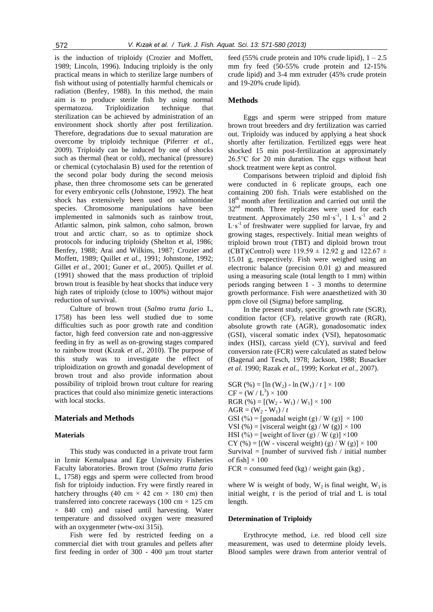is the induction of triploidy (Crozier and Moffett, 1989; Lincoln, 1996). Inducing triploidy is the only practical means in which to sterilize large numbers of fish without using of potentially harmful chemicals or radiation (Benfey, 1988). In this method, the main aim is to produce sterile fish by using normal spermatozoa. Triploidization technique that sterilization can be achieved by administration of an environment shock shortly after post fertilization. Therefore, degradations due to sexual maturation are overcome by triploidy technique (Piferrer *et al.*, 2009). Triploidy can be induced by one of shocks such as thermal (heat or cold), mechanical (pressure) or chemical (cytochalasin B) used for the retention of the second polar body during the second meiosis phase, then three chromosome sets can be generated for every embryonic cells (Johnstone, 1992). The heat shock has extensively been used on salmonidae species. Chromosome manipulations have been implemented in salmonids such as rainbow trout, Atlantic salmon, pink salmon, coho salmon, brown trout and arctic charr, so as to optimize shock protocols for inducing triploidy (Shelton et al, 1986; Benfey, 1988; Arai and Wilkins, 1987; Crozier and Moffett, 1989; Quillet *et al.*, 1991; Johnstone, 1992; Gillet *et al.*, 2001; Guner *et al.*, 2005). Quillet *et al.* (1991) showed that the mass production of triploid brown trout is feasible by heat shocks that induce very high rates of triploidy (close to 100%) without major reduction of survival.

Culture of brown trout (*Salmo trutta fario* L, 1758) has been less well studied due to some difficulties such as poor growth rate and condition factor, high feed conversion rate and non-aggressive feeding in fry as well as on-growing stages compared to rainbow trout (Kızak *et al.*, 2010). The purpose of this study was to investigate the effect of triploidization on growth and gonadal development of brown trout and also provide information about possibility of triploid brown trout culture for rearing practices that could also minimize genetic interactions with local stocks.

#### **Materials and Methods**

#### **Materials**

This study was conducted in a private trout farm in Izmir Kemalpasa and Ege University Fisheries Faculty laboratories. Brown trout (*Salmo trutta fario* L, 1758) eggs and sperm were collected from brood fish for triploidy induction. Fry were firstly reared in hatchery throughs (40 cm  $\times$  42 cm  $\times$  180 cm) then transferred into concrete raceways (100 cm  $\times$  125 cm  $\times$  840 cm) and raised until harvesting. Water temperature and dissolved oxygen were measured with an oxygenmeter (wtw-oxi 315i).

Fish were fed by restricted feeding on a commercial diet with trout granules and pellets after first feeding in order of 300 - 400 µm trout starter

feed (55% crude protein and 10% crude lipid),  $1 - 2.5$ mm fry feed (50-55% crude protein and 12-15% crude lipid) and 3-4 mm extruder (45% crude protein and 19-20% crude lipid).

### **Methods**

Eggs and sperm were stripped from mature brown trout breeders and dry fertilization was carried out. Triploidy was induced by applying a heat shock shortly after fertilization. Fertilized eggs were heat shocked 15 min post-fertilization at approximately 26.5°C for 20 min duration. The eggs without heat shock treatment were kept as control.

Comparisons between triploid and diploid fish were conducted in 6 replicate groups, each one containing 200 fish. Trials were established on the  $18<sup>th</sup>$  month after fertilization and carried out until the 32<sup>nd</sup> month. Three replicates were used for each treatment. Approximately 250 ml·s<sup>-1</sup>, 1 L·s<sup>-1</sup> and 2  $L \cdot s^{-1}$  of freshwater were supplied for larvae, fry and growing stages, respectively. Initial mean weights of triploid brown trout (TBT) and diploid brown trout (CBT)(Control) were  $119.59 \pm 12.92$  g and  $122.67 \pm 12.92$ 15.01 g, respectively. Fish were weighed using an electronic balance (precision 0.01 g) and measured using a measuring scale (total length to 1 mm) within periods ranging between 1 - 3 months to determine growth performance. Fish were anaesthetized with 30 ppm clove oil (Sigma) before sampling.

In the present study, specific growth rate (SGR), condition factor (CF), relative growth rate (RGR), absolute growth rate (AGR), gonadosomatic index (GSI), visceral somatic index (VSI), hepatosomatic index (HSI), carcass yield (CY), survival and feed conversion rate (FCR) were calculated as stated below (Bagenal and Tesch, 1978; Jackson, 1988; Busacker *et al.* 1990; Razak *et al.*, 1999; Korkut *et al.*, 2007).

SGR (%) =  $\ln(W_2)$  -  $\ln(W_1)/t$  | × 100  $CF = (W / L^3) \times 100$ RGR  $(\% ) = [(W_2 - W_1) / W_1] \times 100$  $AGR = (W_2 - W_1) / t$ GSI (%) = [gonadal weight (g) / W (g)]  $\times$  100 VSI (%) = [visceral weight (g) / W (g)]  $\times$  100 HSI (%) = [weight of liver (g) / W (g)]  $\times$ 100 CY (%) =  $[(W - v)$  isceral weight) (g) / W (g)  $] \times 100$ Survival =  $[number of survived fish / initial number]$ of fish]  $\times$  100

 $FCR = \text{consumed feed}$  (kg) / weight gain (kg),

where W is weight of body,  $W_2$  is final weight,  $W_1$  is initial weight, *t* is the period of trial and L is total length.

#### **Determination of Triploidy**

Erythrocyte method, i.e. red blood cell size measurement, was used to determine ploidy levels. Blood samples were drawn from anterior ventral of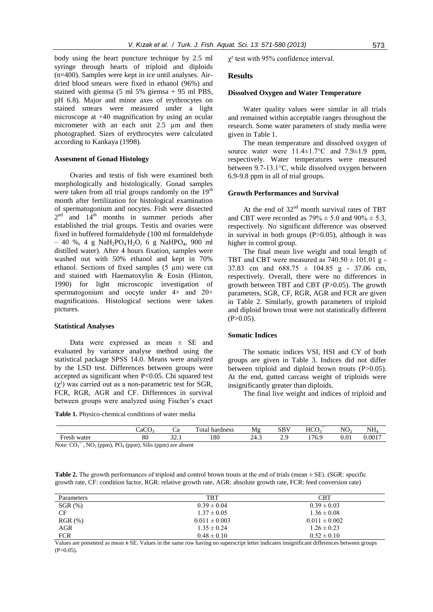body using the heart puncture technique by 2.5 ml syringe through hearts of triploid and diploids (n=400). Samples were kept in ice until analyses. Airdried blood smears were fixed in ethanol (96%) and stained with giemsa (5 ml 5% giemsa + 95 ml PBS, pH 6.8). Major and minor axes of erythrocytes on stained smears were measured under a light microscope at ×40 magnification by using an ocular micrometer with an each unit 2.5  $\mu$ m and then photographed. Sizes of erythrocytes were calculated according to Kankaya (1998).

#### **Assesment of Gonad Histology**

Ovaries and testis of fish were examined both morphologically and histologically. Gonad samples were taken from all trial groups randomly on the  $19<sup>th</sup>$ month after fertilization for histological examination of spermatogonium and oocytes. Fish were dissected  $2<sup>nd</sup>$  and  $14<sup>th</sup>$  months in summer periods after established the trial groups. Testis and ovaries were fixed in buffered formaldehyde (100 ml formaldehyde  $-40$  %, 4 g NaH<sub>2</sub>PO<sub>4</sub>H<sub>2</sub>O, 6 g NaHPO<sub>4</sub>, 900 ml distilled water). After 4 hours fixation, samples were washed out with 50% ethanol and kept in 70% ethanol. Sections of fixed samples (5 µm) were cut and stained with Haematoxylin & Eosin (Hinton, 1990) for light microscopic investigation of spermatogonium and oocyte under  $4 \times$  and  $20 \times$ magnifications. Histological sections were taken pictures.

#### **Statistical Analyses**

Data were expressed as mean  $\pm$  SE and evaluated by variance analyse method using the statistical package SPSS 14.0. Means were analyzed by the LSD test. Differences between groups were accepted as significant when P<0.05. Chi squared test  $(χ<sup>2</sup>)$  was carried out as a non-parametric test for SGR, FCR, RGR, AGR and CF. Differences in survival between groups were analyzed using Fischer's exact

**Table 1.** Physico-chemical conditions of water media

 $\chi^2$  test with 95% confidence interval.

#### **Results**

#### **Dissolved Oxygen and Water Temperature**

Water quality values were similar in all trials and remained within acceptable ranges throughout the research. Some water parameters of study media were given in Table 1.

The mean temperature and dissolved oxygen of source water were  $11.4 \pm 1.7$ °C and  $7.9 \pm 1.9$  ppm, respectively. Water temperatures were measured between 9.7-13.1°C, while dissolved oxygen between 6.9-9.8 ppm in all of trial groups.

#### **Growth Performances and Survival**

At the end of  $32<sup>nd</sup>$  month survival rates of TBT and CBT were recorded as  $79\% \pm 5.0$  and  $90\% \pm 5.3$ , respectively. No significant difference was observed in survival in both groups  $(P>0.05)$ , although it was higher in control group.

The final mean live weight and total length of TBT and CBT were measured as  $740.50 \pm 101.01$  g -37.83 cm and  $688.75 \pm 104.85$  g - 37.06 cm, respectively. Overall, there were no differences in growth between TBT and CBT (P>0.05). The growth parameters, SGR, CF, RGR, AGR and FCR are given in Table 2. Similarly, growth parameters of triploid and diploid brown trout were not statistically different  $(P>0.05)$ .

#### **Somatic Indices**

The somatic indices VSI, HSI and CY of both groups are given in Table 3. Indices did not differ between triploid and diploid brown trouts (P>0.05). At the end, gutted carcass weight of triploids were insignificantly greater than diploids.

The final live weight and indices of triploid and

|                                                   | $\sim$<br>∴aC∪                  | C a              | $_{\rm Total}$<br>hardness | Μg   | CDU<br>ນມ | $\overline{\phantom{0}}$<br>HCO   | NO <sub>2</sub> | NH <sub>a</sub> |
|---------------------------------------------------|---------------------------------|------------------|----------------------------|------|-----------|-----------------------------------|-----------------|-----------------|
| ⊦rest.<br>water                                   | $_{\rm 80}$                     | $\sim$           | 180                        | 24.3 | <u>.</u>  | $\sim$ $\sim$<br>$\epsilon$<br>◡. | $_{0.01}$       | $0.001^{-7}$    |
| $\alpha$ =<br>N <sub>0</sub><br>$N$ ota:<br>(nnm) | Silie<br>$\mathbf{D} \cap (mm)$ | (ppm) are absent |                            |      |           |                                   |                 |                 |

Note:  $CO_3$ <sup>=</sup>, NO<sub>3</sub> (ppm), PO<sub>4</sub> (ppm), Silis (ppm) are absent

**Table 2.** The growth performances of triploid and control brown trouts at the end of trials (mean  $\pm$  SE). (SGR: specific growth rate, CF: condition factor, RGR: relative growth rate, AGR: absolute growth rate, FCR: feed conversion rate)

| Parameters   | <b>TBT</b>        | <b>CBT</b>        |
|--------------|-------------------|-------------------|
| $SGR$ $(\%)$ | $0.39 \pm 0.04$   | $0.39 \pm 0.03$   |
| CF.          | $1.37 \pm 0.05$   | $1.36 \pm 0.08$   |
| $RGR(\% )$   | $0.011 \pm 0.003$ | $0.011 \pm 0.002$ |
| AGR          | $1.35 \pm 0.24$   | $1.26 \pm 0.23$   |
| <b>FCR</b>   | $0.48 \pm 0.10$   | $0.52 \pm 0.10$   |

Values are presented as mean **±** SE. Values in the same row having no superscript letter indicates insignificant differences between groups  $(P>0.05)$ .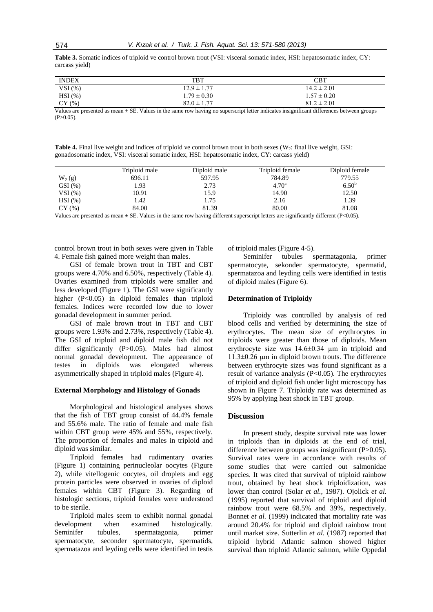**Table 3.** Somatic indices of triploid ve control brown trout (VSI: visceral somatic index, HSI: hepatosomatic index, CY: carcass yield)

| <b>INDEX</b> | <b>TBT</b>      | CBT                                                          |
|--------------|-----------------|--------------------------------------------------------------|
| VSI(%)       | $12.9 \pm 1.77$ | $14.2 \pm 2.01$                                              |
| $HSI$ (%)    | $1.79 \pm 0.30$ | $1.57 \pm 0.20$                                              |
| CY(%)        | $82.0 \pm 1.77$ | $81.2 \pm 2.01$                                              |
| ---          | .               | المحامل المتحدث والمتحدث والمتحدث المستحدث والمتحدث والمتحدث |

Values are presented as mean **±** SE. Values in the same row having no superscript letter indicates insignificant differences between groups  $(P>0.05)$ .

Table 4. Final live weight and indices of triploid ve control brown trout in both sexes (W<sub>2</sub>: final live weight, GSI: gonadosomatic index, VSI: visceral somatic index, HSI: hepatosomatic index, CY: carcass yield)

|           | Triploid male        | Diploid male         | Triploid female                | Diploid female       |
|-----------|----------------------|----------------------|--------------------------------|----------------------|
| $W_2(g)$  | 696.11               | 597.95               | 784.89                         | 779.55               |
| $GSI(\%)$ | .93                  | 2.73                 | $4.70^{\rm a}$                 | $6.50^{b}$           |
| VSI(%)    | 10.91                | 15.9                 | 14.90                          | 12.50                |
| $HSI(\%)$ | .42                  | 1.75                 | 2.16                           | 1.39                 |
| CY(%)     | 84.00                | 81.39                | 80.00                          | 81.08                |
| ---       | $\sim$ $\sim$<br>. . | $\sim$ $\sim$<br>. . | $\sim$ $\sim$<br>$\sim$ $\sim$ | $\sim$ $\sim$ $\sim$ |

Values are presented as mean **±** SE. Values in the same row having different superscript letters are significantly different (P<0.05).

control brown trout in both sexes were given in Table 4. Female fish gained more weight than males.

GSI of female brown trout in TBT and CBT groups were 4.70% and 6.50%, respectively (Table 4). Ovaries examined from triploids were smaller and less developed (Figure 1). The GSI were significantly higher (P<0.05) in diploid females than triploid females. Indices were recorded low due to lower gonadal development in summer period.

GSI of male brown trout in TBT and CBT groups were 1.93% and 2.73%, respectively (Table 4). The GSI of triploid and diploid male fish did not differ significantly (P>0.05). Males had almost normal gonadal development. The appearance of testes in diploids was elongated whereas asymmetrically shaped in triploid males (Figure 4).

#### **External Morphology and Histology of Gonads**

Morphological and histological analyses shows that the fish of TBT group consist of 44.4% female and 55.6% male. The ratio of female and male fish within CBT group were 45% and 55%, respectively. The proportion of females and males in triploid and diploid was similar.

Triploid females had rudimentary ovaries (Figure 1) containing perinucleolar oocytes (Figure 2), while vitellogenic oocytes, oil droplets and egg protein particles were observed in ovaries of diploid females within CBT (Figure 3). Regarding of histologic sections, triploid females were understood to be sterile.

Triploid males seem to exhibit normal gonadal development when examined histologically. Seminifer tubules, spermatagonia, primer spermatocyte, seconder spermatocyte, spermatids, spermatazoa and leyding cells were identified in testis of triploid males (Figure 4-5).

Seminifer tubules spermatagonia, primer spermatocyte, sekonder spermatocyte, spermatid, spermatazoa and leyding cells were identified in testis of diploid males (Figure 6).

#### **Determination of Triploidy**

Triploidy was controlled by analysis of red blood cells and verified by determining the size of erythrocytes. The mean size of erythrocytes in triploids were greater than those of diploids. Mean erythrocyte size was 14.6±0.34 µm in triploid and  $11.3\pm0.26$  µm in diploid brown trouts. The difference between erythrocyte sizes was found significant as a result of variance analysis  $(P<0.05)$ . The erythrocytes of triploid and diploid fish under light microscopy has shown in Figure 7. Triploidy rate was determined as 95% by applying heat shock in TBT group.

#### **Discussion**

In present study, despite survival rate was lower in triploids than in diploids at the end of trial, difference between groups was insignificant (P>0.05). Survival rates were in accordance with results of some studies that were carried out salmonidae species. It was cited that survival of triploid rainbow trout, obtained by heat shock triploidization, was lower than control (Solar *et al.*, 1987). Ojolick *et al.* (1995) reported that survival of triploid and diploid rainbow trout were 68.5% and 39%, respectively. Bonnet *et al.* (1999) indicated that mortality rate was around 20.4% for triploid and diploid rainbow trout until market size. Sutterlin *et al.* (1987) reported that triploid hybrid Atlantic salmon showed higher survival than triploid Atlantic salmon, while Oppedal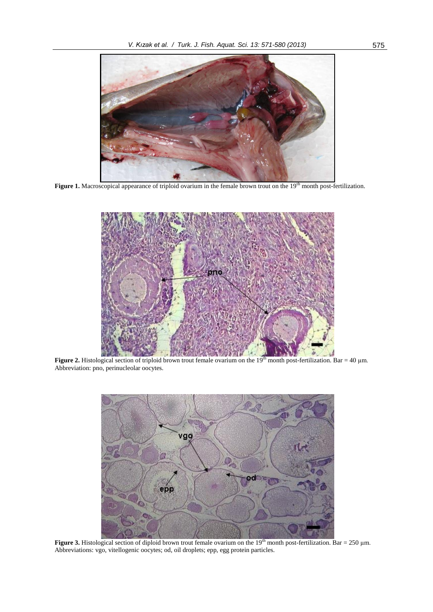

Figure 1. Macroscopical appearance of triploid ovarium in the female brown trout on the 19<sup>th</sup> month post-fertilization.



**Figure 2.** Histological section of triploid brown trout female ovarium on the  $19<sup>th</sup>$  month post-fertilization. Bar = 40 µm. Abbreviation: pno, perinucleolar oocytes.



**Figure 3.** Histological section of diploid brown trout female ovarium on the  $19<sup>th</sup>$  month post-fertilization. Bar = 250  $\mu$ m. Abbreviations: vgo, vitellogenic oocytes; od, oil droplets; epp, egg protein particles.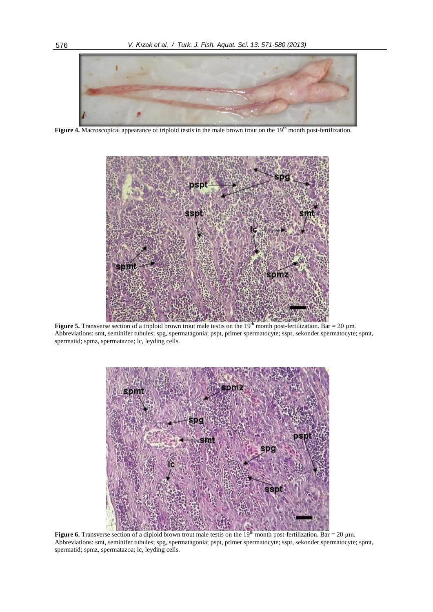

**Figure 4.** Macroscopical appearance of triploid testis in the male brown trout on the 19<sup>th</sup> month post-fertilization.



**Figure 5.** Transverse section of a triploid brown trout male testis on the  $19<sup>th</sup>$  month post-fertilization. Bar = 20  $\mu$ m. Abbreviations: smt, seminifer tubules; spg, spermatagonia; pspt, primer spermatocyte; sspt, sekonder spermatocyte; spmt, spermatid; spmz, spermatazoa; lc, leyding cells.



**Figure 6.** Transverse section of a diploid brown trout male testis on the 19<sup>th</sup> month post-fertilization. Bar = 20  $\mu$ m. Abbreviations: smt, seminifer tubules; spg, spermatagonia; pspt, primer spermatocyte; sspt, sekonder spermatocyte; spmt, spermatid; spmz, spermatazoa; lc, leyding cells.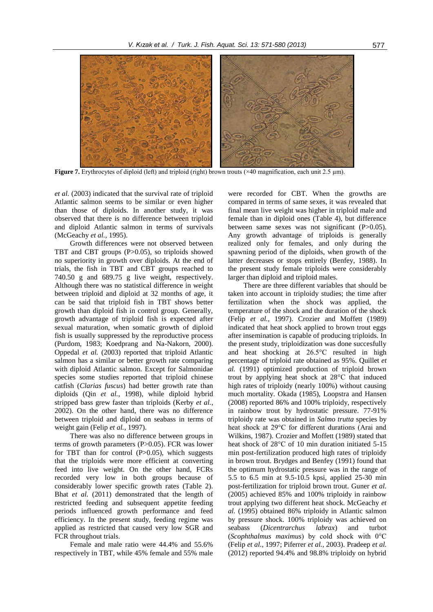

**Figure 7.** Erythrocytes of diploid (left) and triploid (right) brown trouts (×40 magnification, each unit 2.5 µm).

*et al.* (2003) indicated that the survival rate of triploid Atlantic salmon seems to be similar or even higher than those of diploids. In another study, it was observed that there is no difference between triploid and diploid Atlantic salmon in terms of survivals (McGeachy *et al.*, 1995).

Growth differences were not observed between TBT and CBT groups (P>0.05), so triploids showed no superiority in growth over diploids. At the end of trials, the fish in TBT and CBT groups reached to 740.50 g and 689.75 g live weight, respectively. Although there was no statistical difference in weight between triploid and diploid at 32 months of age, it can be said that triploid fish in TBT shows better growth than diploid fish in control group. Generally, growth advantage of triploid fish is expected after sexual maturation, when somatic growth of diploid fish is usually suppressed by the reproductive process (Purdom, 1983; Koedprang and Na-Nakorn, 2000). Oppedal *et al.* (2003) reported that triploid Atlantic salmon has a similar or better growth rate comparing with diploid Atlantic salmon. Except for Salmonidae species some studies reported that triploid chinese catfish (*Clarias fuscus*) had better growth rate than diploids (Qin *et al.*, 1998), while diploid hybrid stripped bass grew faster than triploids (Kerby *et al.*, 2002). On the other hand, there was no difference between triploid and diploid on seabass in terms of weight gain (Felip *et al.*, 1997).

There was also no difference between groups in terms of growth parameters (P>0.05). FCR was lower for TBT than for control  $(P>0.05)$ , which suggests that the triploids were more efficient at converting feed into live weight. On the other hand, FCRs recorded very low in both groups because of considerably lower specific growth rates (Table 2). Bhat *et al.* (2011) demonstrated that the length of restricted feeding and subsequent appetite feeding periods influenced growth performance and feed efficiency. In the present study, feeding regime was applied as restricted that caused very low SGR and FCR throughout trials.

Female and male ratio were 44.4% and 55.6% respectively in TBT, while 45% female and 55% male

were recorded for CBT. When the growths are compared in terms of same sexes, it was revealed that final mean live weight was higher in triploid male and female than in diploid ones (Table 4), but difference between same sexes was not significant (P>0.05). Any growth advantage of triploids is generally realized only for females, and only during the spawning period of the diploids, when growth of the latter decreases or stops entirely (Benfey, 1988). In the present study female triploids were considerably larger than diploid and triploid males.

There are three different variables that should be taken into account in triploidy studies; the time after fertilization when the shock was applied, the temperature of the shock and the duration of the shock (Felip *et al.*, 1997). Crozier and Moffett (1989) indicated that heat shock applied to brown trout eggs after insemination is capable of producing triploids. In the present study, triploidization was done succesfully and heat shocking at 26.5°C resulted in high percentage of triploid rate obtained as 95%. Quillet *et al.* (1991) optimized production of triploid brown trout by applying heat shock at 28°C that induced high rates of triploidy (nearly 100%) without causing much mortality. Okada (1985), Loopstra and Hansen (2008) reported 86% and 100% triploidy, respectively in rainbow trout by hydrostatic pressure. 77-91% triploidy rate was obtained in *Salmo trutta* species by heat shock at 29°C for different durations (Arai and Wilkins, 1987). Crozier and Moffett (1989) stated that heat shock of 28°C of 10 min duration initiated 5-15 min post-fertilization produced high rates of triploidy in brown trout. Brydges and Benfey (1991) found that the optimum hydrostatic pressure was in the range of 5.5 to 6.5 min at 9.5-10.5 kpsi, applied 25-30 min post-fertilization for triploid brown trout. Guner *et al.* (2005) achieved 85% and 100% triploidy in rainbow trout applying two different heat shock. McGeachy *et al.* (1995) obtained 86% triploidy in Atlantic salmon by pressure shock. 100% triploidy was achieved on seabass (*Dicentrarchus labrax*) and turbot (*Scophthalmus maximus*) by cold shock with 0°C (Felip *et al.*, 1997; Piferrer *et al.,* 2003). Pradeep *et al.* (2012) reported 94.4% and 98.8% triploidy on hybrid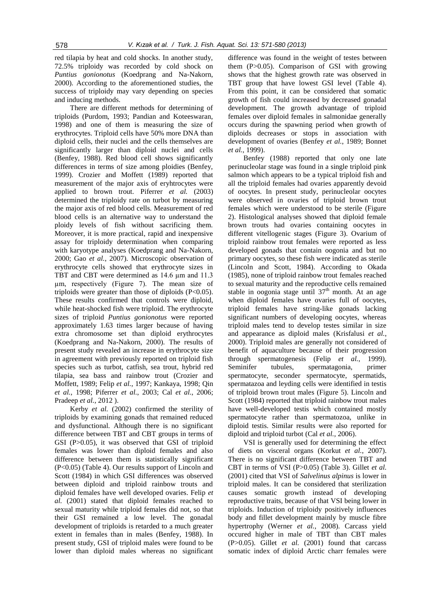red tilapia by heat and cold shocks. In another study, 72.5% triploidy was recorded by cold shock on *Puntius gonionotus* (Koedprang and Na-Nakorn, 2000). According to the aforementioned studies, the success of triploidy may vary depending on species and inducing methods.

There are different methods for determining of triploids (Purdom, 1993; Pandian and Koteeswaran, 1998) and one of them is measuring the size of erythrocytes. Triploid cells have 50% more DNA than diploid cells, their nuclei and the cells themselves are significantly larger than diploid nuclei and cells (Benfey, 1988). Red blood cell shows significantly differences in terms of size among ploidies (Benfey, 1999). Crozier and Moffett (1989) reported that measurement of the major axis of eryhtrocytes were applied to brown trout. Piferrer *et al.* (2003) determined the triploidy rate on turbot by measuring the major axis of red blood cells. Measurement of red blood cells is an alternative way to understand the ploidy levels of fish without sacrificing them. Moreover, it is more practical, rapid and inexpensive assay for triploidy determination when comparing with karyotype analyses (Koedprang and Na-Nakorn, 2000; Gao *et al.*, 2007). Microscopic observation of erythrocyte cells showed that erythrocyte sizes in TBT and CBT were determined as 14.6  $\mu$ m and 11.3 µm, respectively (Figure 7). The mean size of triploids were greater than those of diploids (P<0.05). These results confirmed that controls were diploid, while heat-shocked fish were triploid. The erythrocyte sizes of triploid *Puntius gonionotus* were reported approximately 1.63 times larger because of having extra chromosome set than diploid erythrocytes (Koedprang and Na-Nakorn, 2000). The results of present study revealed an increase in erythrocyte size in agreement with previously reported on triploid fish species such as turbot, catfish, sea trout, hybrid red tilapia, sea bass and rainbow trout (Crozier and Moffett, 1989; Felip *et al.*, 1997; Kankaya, 1998; Qin *et al.*, 1998; Piferrer *et al.*, 2003; Cal *et al.*, 2006; Pradeep *et al.*, 2012 ).

Kerby *et al.* (2002) confirmed the sterility of triploids by examining gonads that remained reduced and dysfunctional. Although there is no significant difference between TBT and CBT groups in terms of GSI (P>0.05), it was observed that GSI of triploid females was lower than diploid females and also difference between them is statistically significant (P<0.05) (Table 4). Our results support of Lincoln and Scott (1984) in which GSI differences was observed between diploid and triploid rainbow trouts and diploid females have well developed ovaries. Felip *et al.* (2001) stated that diploid females reached to sexual maturity while triploid females did not, so that their GSI remained a low level. The gonadal development of triploids is retarded to a much greater extent in females than in males (Benfey, 1988). In present study, GSI of triploid males were found to be lower than diploid males whereas no significant

difference was found in the weight of testes between them (P>0.05). Comparison of GSI with growing shows that the highest growth rate was observed in TBT group that have lowest GSI level (Table 4). From this point, it can be considered that somatic growth of fish could increased by decreased gonadal development. The growth advantage of triploid females over diploid females in salmonidae generally occurs during the spawning period when growth of diploids decreases or stops in association with development of ovaries (Benfey *et al.*, 1989; Bonnet *et al.*, 1999).

Benfey (1988) reported that only one late perinucleolar stage was found in a single triploid pink salmon which appears to be a typical triploid fish and all the triploid females had ovaries apparently devoid of oocytes. In present study, perinucleolar oocytes were observed in ovaries of triploid brown trout females which were understood to be sterile (Figure 2). Histological analyses showed that diploid female brown trouts had ovaries containing oocytes in different vitellogenic stages (Figure 3). Ovarium of triploid rainbow trout females were reported as less developed gonads that contain oogonia and but no primary oocytes, so these fish were indicated as sterile (Lincoln and Scott, 1984). According to Okada (1985), none of triploid rainbow trout females reached to sexual maturity and the reproductive cells remained stable in oogonia stage until  $37<sup>th</sup>$  month. At an age when diploid females have ovaries full of oocytes, triploid females have string-like gonads lacking significant numbers of developing oocytes, whereas triploid males tend to develop testes similar in size and appearance as diploid males (Krisfalusi *et al.*, 2000). Triploid males are generally not considered of benefit of aquaculture because of their progression through spermatogenesis (Felip *et al.*, 1999). Seminifer tubules, spermatagonia, primer spermatocyte, seconder spermatocyte, spermatids, spermatazoa and leyding cells were identified in testis of triploid brown trout males (Figure 5). Lincoln and Scott (1984) reported that triploid rainbow trout males have well-developed testis which contained mostly spermatocyte rather than spermatozoa, unlike in diploid testis. Similar results were also reported for diploid and triploid turbot (Cal *et al.*, 2006).

VSI is generally used for determining the effect of diets on visceral organs (Korkut *et al.*, 2007). There is no significant difference between TBT and CBT in terms of VSI (P>0.05) (Table 3). Gillet *et al.* (2001) cited that VSI of *Salvelinus alpinus* is lower in triploid males. It can be considered that sterilization causes somatic growth instead of developing reproductive traits, because of that VSI being lower in triploids. Induction of triploidy positively influences body and fillet development mainly by muscle fibre hypertrophy (Werner *et al.*, 2008). Carcass yield occured higher in male of TBT than CBT males (P>0.05). Gillet *et al.* (2001) found that carcass somatic index of diploid Arctic charr females were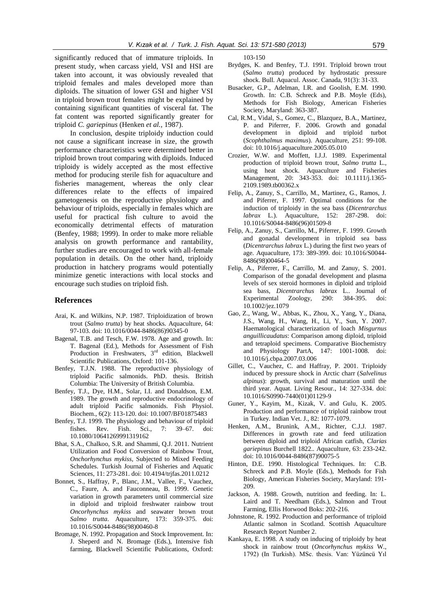significantly reduced that of immature triploids. In present study, when carcass yield, VSI and HSI are taken into account, it was obviously revealed that triploid females and males developed more than diploids. The situation of lower GSI and higher VSI in triploid brown trout females might be explained by containing significant quantities of visceral fat. The fat content was reported significantly greater for triploid *C. gariepinus* (Henken *et al.*, 1987).

In conclusion, despite triploidy induction could not cause a significant increase in size, the growth performance characteristics were determined better in triploid brown trout comparing with diploids. Induced triploidy is widely accepted as the most effective method for producing sterile fish for aquaculture and fisheries management, whereas the only clear differences relate to the effects of impaired gametogenesis on the reproductive physiology and behaviour of triploids, especially in females which are useful for practical fish culture to avoid the economically detrimental effects of maturation (Benfey, 1988; 1999). In order to make more reliable analysis on growth performance and rantability, further studies are encouraged to work with all-female population in details. On the other hand, triploidy production in hatchery programs would potentially minimize genetic interactions with local stocks and encourage such studies on triploid fish.

#### **References**

- Arai, K. and Wilkins, N.P. 1987. Triploidization of brown trout (*Salmo trutta*) by heat shocks. Aquaculture, 64: 97-103. doi: 10.1016/0044-8486(86)90345-0
- Bagenal, T.B. and Tesch, F.W. 1978. Age and growth. In: T. Bagenal (Ed.), Methods for Assessment of Fish Production in Freshwaters, 3<sup>rd</sup> edition, Blackwell Scientific Publications, Oxford: 101-136.
- Benfey, T.J.N. 1988. The reproductive physiology of triploid Pacific salmonids. PhD. thesis. British Columbia: The University of British Columbia.
- Benfey, T.J., Dye, H.M., Solar, I.I. and Donaldson, E.M. 1989. The growth and reproductive endocrinology of adult triploid Pacific salmonids. Fish Physiol. Biochem., 6(2): 113-120. doi: 10.1007/BF01875483
- Benfey, T.J. 1999. The physiology and behaviour of triploid fishes. Rev. Fish. Sci., 7: 39–67. doi: 10.1080/10641269991319162
- Bhat, S.A., Chalkoo, S.R. and Shammi, Q.J. 2011. Nutrient Utilization and Food Conversion of Rainbow Trout, *Onchorhynchus mykiss*, Subjected to Mixed Feeding Schedules. Turkish Journal of Fisheries and Aquatic Sciences, 11: 273-281. doi: 10.4194/trjfas.2011.0212
- Bonnet, S., Haffray, P., Blanc, J.M., Vallee, F., Vauchez, C., Faure, A. and Fauconneau, B. 1999. Genetic variation in growth parameters until commercial size in diploid and triploid freshwater rainbow trout *Oncorhynchus mykiss* and seawater brown trout *Salmo trutta*. Aquaculture, 173: 359-375. doi: 10.1016/S0044-8486(98)00460-8
- Bromage, N. 1992. Propagation and Stock Improvement. In: J. Sheperd and N. Bromage (Eds.), Intensive fish farming, Blackwell Scientific Publications, Oxford:

103-150

- Brydges, K. and Benfey, T.J. 1991. Triploid brown trout (*Salmo trutta*) produced by hydrostatic pressure shock. Bull. Aquacul. Assoc. Canada, 91(3): 31-33.
- Busacker, G.P., Adelman, I.R. and Goolish, E.M. 1990. Growth. In: C.B. Schreck and P.B. Moyle (Eds), Methods for Fish Biology, American Fisheries Society, Maryland: 363-387.
- Cal, R.M., Vidal, S., Gomez, C., Blazquez, B.A., Martinez, P. and Piferrer, F. 2006. Growth and gonadal development in diploid and triploid turbot (*Scophthalmus maximus*). Aquaculture, 251: 99-108. doi: 10.1016/j.aquaculture.2005.05.010
- Crozier, W.W. and Moffett, I.J.J. 1989. Experimental production of triploid brown trout, *Salmo trutta* L., using heat shock. Aquaculture and Fisheries Management, 20: 343-353. doi: 10.1111/j.1365- 2109.1989.tb00362.x
- Felip, A., Zanuy, S., Carrillo, M., Martinez, G., Ramos, J. and Piferrer, F. 1997. Optimal conditions for the induction of triploidy in the sea bass (*Dicentrarchus labrax* L.). Aquaculture, 152: 287-298. doi: 10.1016/S0044-8486(96)01509-8
- Felip, A., Zanuy, S., Carrillo, M., Piferrer, F. 1999. Growth and gonadal development in triploid sea bass (*Dicentrarchus labrax* L.) during the first two years of age. Aquaculture, 173: 389-399. doi: 10.1016/S0044- 8486(98)00464-5
- Felip, A., Piferrer, F., Carrillo, M. and Zanuy, S. 2001. Comparison of the gonadal development and plasma levels of sex steroid hormones in diploid and triploid sea bass, *Dicentrarchus labrax* L.. Journal of Experimental Zoology, 290: 384-395. doi: 10.1002/jez.1079
- Gao, Z., Wang, W., Abbas, K., Zhou, X., Yang, Y., Diana, J.S., Wang, H., Wang, H., Li, Y., Sun, Y. 2007. Haematological characterization of loach *Misgurnus anguillicaudatus*: Comparison among diploid, triploid and tetraploid specimens. Comparative Biochemistry and Physiology PartA, 147: 1001-1008. doi: 10.1016/j.cbpa.2007.03.006
- Gillet, C., Vauchez, C. and Haffray, P. 2001. Triploidy induced by pressure shock in Arctic charr (*Salvelinus alpinus*): growth, survival and maturation until the third year. Aquat. Living Resour., 14: 327-334. doi: 10.1016/S0990-7440(01)01129-9
- Guner, Y., Kayim, M., Kizak, V. and Gulu, K. 2005. Production and performance of triploid rainbow trout in Turkey. Indian Vet. J., 82: 1077-1079.
- Henken, A.M., Brunink, A.M., Richter, C.J.J. 1987. Differences in growth rate and feed utilization between diploid and triploid African catfish, *Clarias gariepinus* Burchell 1822.. Aquaculture, 63: 233-242. doi: 10.1016/0044-8486(87)90075-5
- Hinton, D.E. 1990. Histological Techniques. In: C.B. Schreck and P.B. Moyle (Eds.), Methods for Fish Biology, American Fisheries Society, Maryland: 191- 209.
- Jackson, A. 1988. Growth, nutrition and feeding. In: L. Laird and T. Needham (Eds.), Salmon and Trout Farming, Ellis Horwood Boks: 202-216.
- Johnstone, R. 1992. Production and performance of triploid Atlantic salmon in Scotland. Scottish Aquaculture Research Report Number 2.
- Kankaya, E. 1998. A study on inducing of triploidy by heat shock in rainbow trout (*Oncorhynchus mykiss* W., 1792) (In Turkish). MSc. thesis. Van: Yüzüncü Yıl